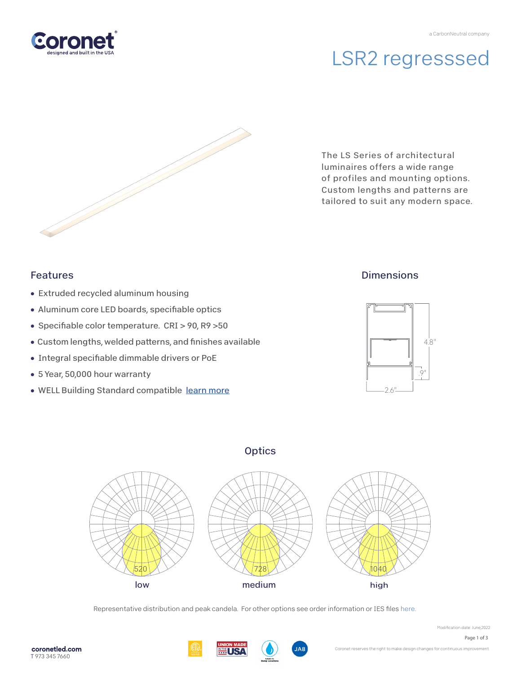# LSR2 regresssed



The LS Series of architectural luminaires offers a wide range of profiles and mounting options. Custom lengths and patterns are tailored to suit any modern space.

### Features

- Extruded recycled aluminum housing
- Aluminum core LED boards, specifiable optics
- Specifiable color temperature. CRI > 90, R9 > 50
- Custom lengths, welded patterns, and finishes available
- Integral specifiable dimmable drivers or PoE
- 5 Year, 50,000 hour warranty
- WELL Building Standard compatibl[e learn more](https://coronetled.com/well-v2-standard/)

## **Dimensions**







Representative distribution and peak candela. For other options see order information or IES files [here.](https://coronetled.com/downloads/)



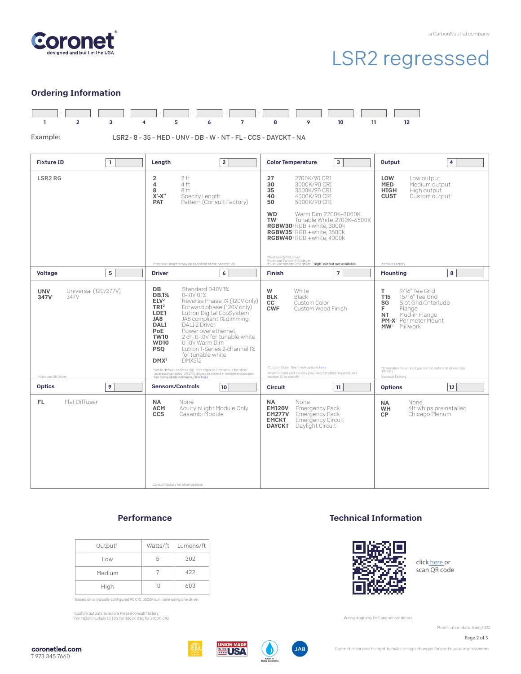

# LSR2 regresssed

### Ordering Information



#### **Performance**

Consult factory for other options.

| Output <sup>1</sup> |    | Watts/ft Lumens/ft |
|---------------------|----|--------------------|
| Low                 | b. | 302                |
| Medium              |    | 422                |
| High                | 1Λ | 603                |

'Based on a typically configured 90 CRI, 3500K luminaire using one driver.

Custom outputs available. Please consult factory. For 4000K multiply by 1.05; for 3000K 0.96; for 2700K, 0.92.

#### Technical Information



click [here or](https://coronetled.com/warranty-technical-info/) scan QR code

Wiring diagrams, PoE and sensor details

Modification date: June,2022

Page 2 of 3







Coronet reserves the right to make design changes for continuous improvement.